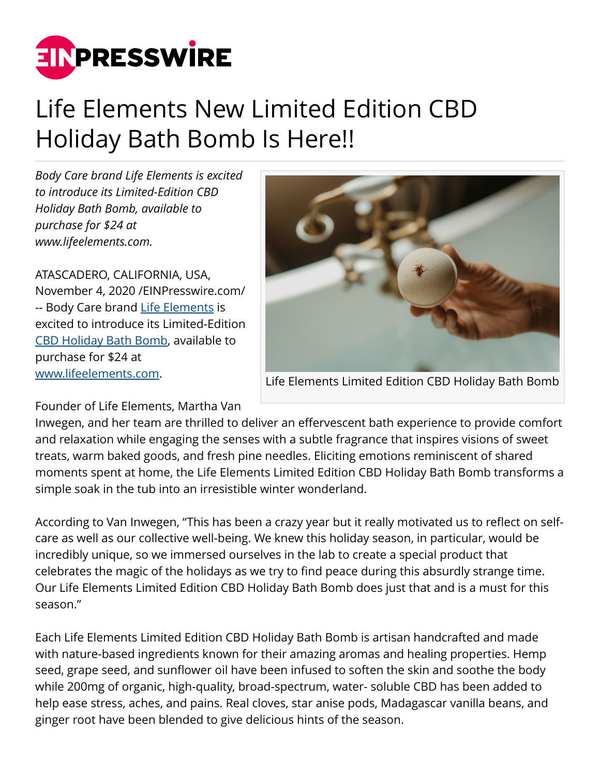

## Life Elements New Limited Edition CBD Holiday Bath Bomb Is Here!!

*Body Care brand Life Elements is excited to introduce its Limited-Edition CBD Holiday Bath Bomb, available to purchase for \$24 at www.lifeelements.com.* 

ATASCADERO, CALIFORNIA, USA, November 4, 2020 /[EINPresswire.com/](http://www.einpresswire.com) -- Body Care brand [Life Elements](http://lifeelements.com) is excited to introduce its Limited-Edition [CBD Holiday Bath Bomb](http://lifeelements.com/products/holiday-bath-bomb), available to purchase for \$24 at [www.lifeelements.com.](http://www.lifeelements.com)



Life Elements Limited Edition CBD Holiday Bath Bomb

Founder of Life Elements, Martha Van

Inwegen, and her team are thrilled to deliver an effervescent bath experience to provide comfort and relaxation while engaging the senses with a subtle fragrance that inspires visions of sweet treats, warm baked goods, and fresh pine needles. Eliciting emotions reminiscent of shared moments spent at home, the Life Elements Limited Edition CBD Holiday Bath Bomb transforms a simple soak in the tub into an irresistible winter wonderland.

According to Van Inwegen, "This has been a crazy year but it really motivated us to reflect on selfcare as well as our collective well-being. We knew this holiday season, in particular, would be incredibly unique, so we immersed ourselves in the lab to create a special product that celebrates the magic of the holidays as we try to find peace during this absurdly strange time. Our Life Elements Limited Edition CBD Holiday Bath Bomb does just that and is a must for this season."

Each Life Elements Limited Edition CBD Holiday Bath Bomb is artisan handcrafted and made with nature-based ingredients known for their amazing aromas and healing properties. Hemp seed, grape seed, and sunflower oil have been infused to soften the skin and soothe the body while 200mg of organic, high-quality, broad-spectrum, water- soluble CBD has been added to help ease stress, aches, and pains. Real cloves, star anise pods, Madagascar vanilla beans, and ginger root have been blended to give delicious hints of the season.